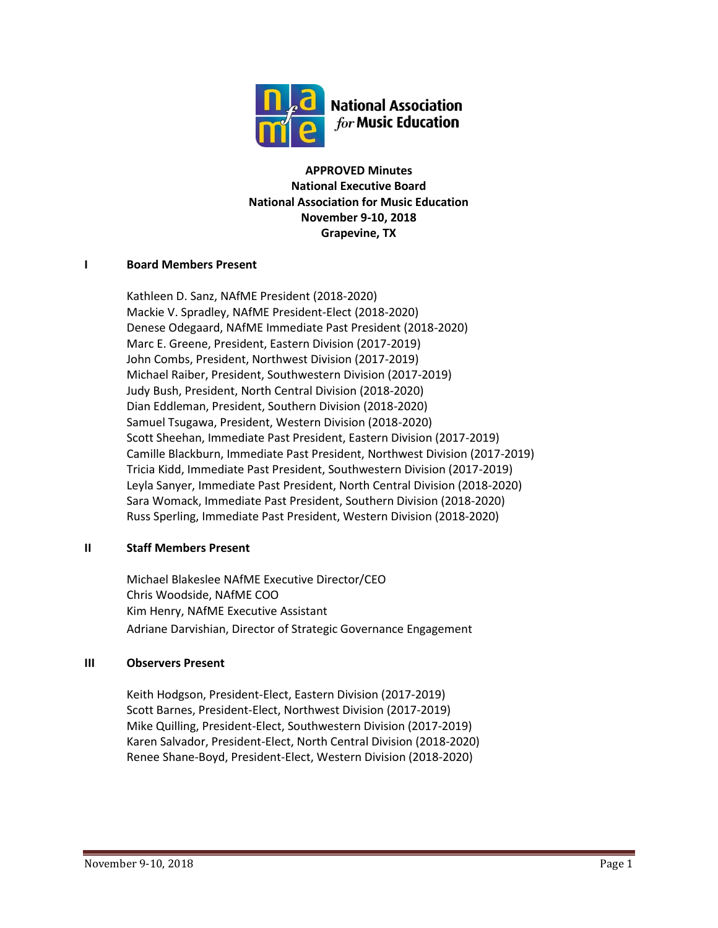

**APPROVED Minutes National Executive Board National Association for Music Education November 9-10, 2018 Grapevine, TX**

## **I Board Members Present**

Kathleen D. Sanz, NAfME President (2018-2020) Mackie V. Spradley, NAfME President-Elect (2018-2020) Denese Odegaard, NAfME Immediate Past President (2018-2020) Marc E. Greene, President, Eastern Division (2017-2019) John Combs, President, Northwest Division (2017-2019) Michael Raiber, President, Southwestern Division (2017-2019) Judy Bush, President, North Central Division (2018-2020) Dian Eddleman, President, Southern Division (2018-2020) Samuel Tsugawa, President, Western Division (2018-2020) Scott Sheehan, Immediate Past President, Eastern Division (2017-2019) Camille Blackburn, Immediate Past President, Northwest Division (2017-2019) Tricia Kidd, Immediate Past President, Southwestern Division (2017-2019) Leyla Sanyer, Immediate Past President, North Central Division (2018-2020) Sara Womack, Immediate Past President, Southern Division (2018-2020) Russ Sperling, Immediate Past President, Western Division (2018-2020)

# **II Staff Members Present**

Michael Blakeslee NAfME Executive Director/CEO Chris Woodside, NAfME COO Kim Henry, NAfME Executive Assistant Adriane Darvishian, Director of Strategic Governance Engagement

### **III Observers Present**

Keith Hodgson, President-Elect, Eastern Division (2017-2019) Scott Barnes, President-Elect, Northwest Division (2017-2019) Mike Quilling, President-Elect, Southwestern Division (2017-2019) Karen Salvador, President-Elect, North Central Division (2018-2020) Renee Shane-Boyd, President-Elect, Western Division (2018-2020)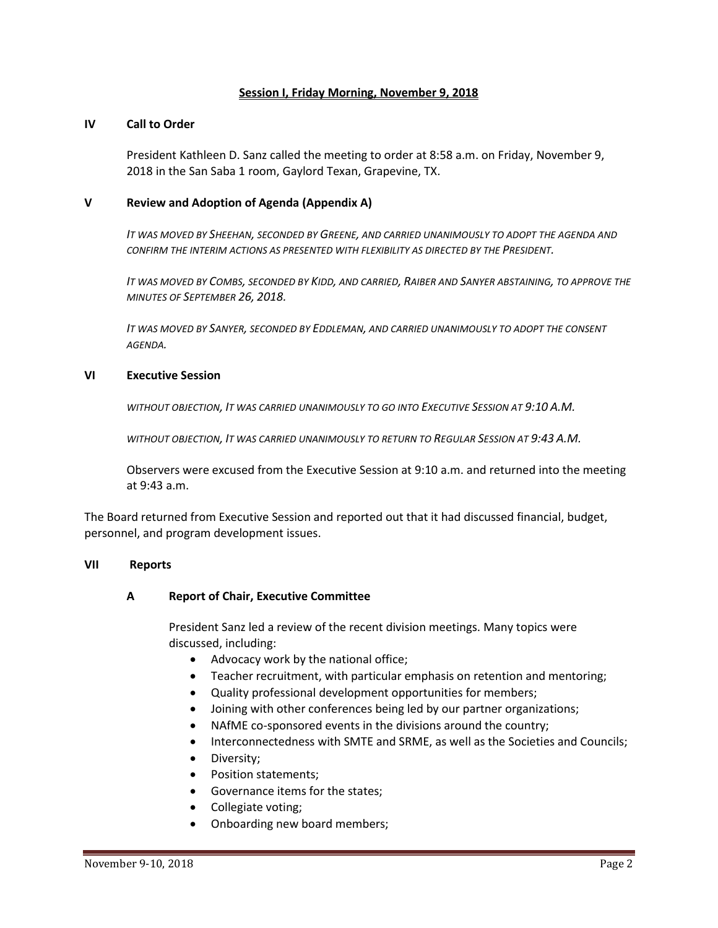#### **Session I, Friday Morning, November 9, 2018**

#### **IV Call to Order**

President Kathleen D. Sanz called the meeting to order at 8:58 a.m. on Friday, November 9, 2018 in the San Saba 1 room, Gaylord Texan, Grapevine, TX.

#### **V Review and Adoption of Agenda (Appendix A)**

*IT WAS MOVED BY SHEEHAN, SECONDED BY GREENE, AND CARRIED UNANIMOUSLY TO ADOPT THE AGENDA AND CONFIRM THE INTERIM ACTIONS AS PRESENTED WITH FLEXIBILITY AS DIRECTED BY THE PRESIDENT.*

*IT WAS MOVED BY COMBS, SECONDED BY KIDD, AND CARRIED, RAIBER AND SANYER ABSTAINING, TO APPROVE THE MINUTES OF SEPTEMBER 26, 2018.*

*IT WAS MOVED BY SANYER, SECONDED BY EDDLEMAN, AND CARRIED UNANIMOUSLY TO ADOPT THE CONSENT AGENDA.*

#### **VI Executive Session**

*WITHOUT OBJECTION, IT WAS CARRIED UNANIMOUSLY TO GO INTO EXECUTIVE SESSION AT 9:10 A.M.*

*WITHOUT OBJECTION, IT WAS CARRIED UNANIMOUSLY TO RETURN TO REGULAR SESSION AT 9:43 A.M.*

Observers were excused from the Executive Session at 9:10 a.m. and returned into the meeting at 9:43 a.m.

The Board returned from Executive Session and reported out that it had discussed financial, budget, personnel, and program development issues.

#### **VII Reports**

### **A Report of Chair, Executive Committee**

President Sanz led a review of the recent division meetings. Many topics were discussed, including:

- Advocacy work by the national office;
- Teacher recruitment, with particular emphasis on retention and mentoring;
- Quality professional development opportunities for members;
- Joining with other conferences being led by our partner organizations;
- NAfME co-sponsored events in the divisions around the country;
- Interconnectedness with SMTE and SRME, as well as the Societies and Councils;
- Diversity;
- Position statements;
- Governance items for the states;
- Collegiate voting;
- Onboarding new board members;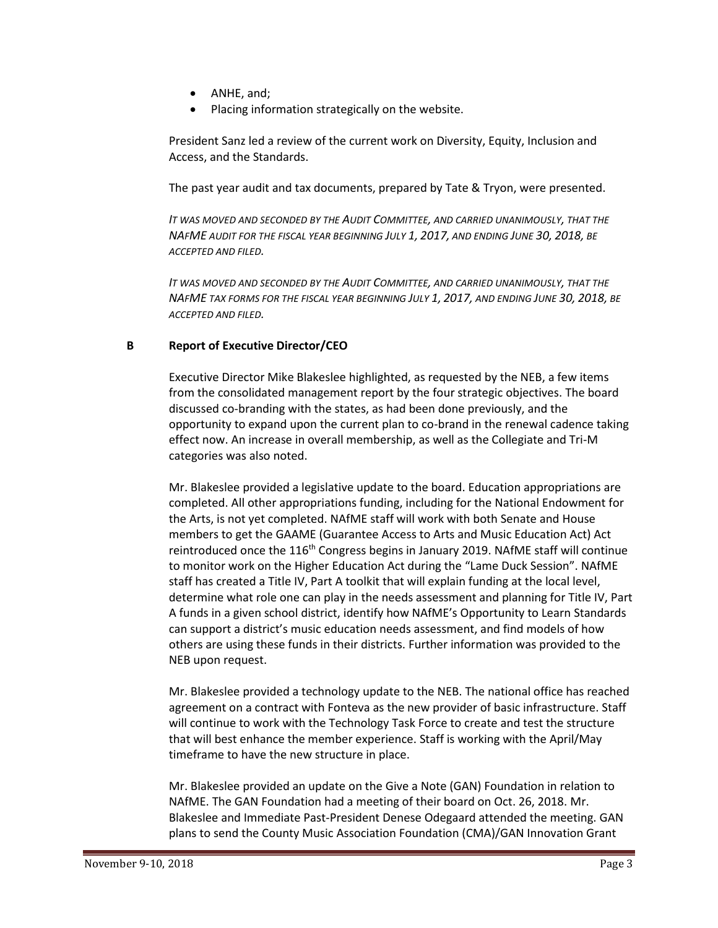- ANHE, and;
- Placing information strategically on the website.

President Sanz led a review of the current work on Diversity, Equity, Inclusion and Access, and the Standards.

The past year audit and tax documents, prepared by Tate & Tryon, were presented.

*IT WAS MOVED AND SECONDED BY THE AUDIT COMMITTEE, AND CARRIED UNANIMOUSLY, THAT THE NAFME AUDIT FOR THE FISCAL YEAR BEGINNING JULY 1, 2017, AND ENDING JUNE 30, 2018, BE ACCEPTED AND FILED.*

*IT WAS MOVED AND SECONDED BY THE AUDIT COMMITTEE, AND CARRIED UNANIMOUSLY, THAT THE NAFME TAX FORMS FOR THE FISCAL YEAR BEGINNING JULY 1, 2017, AND ENDING JUNE 30, 2018, BE ACCEPTED AND FILED.*

# **B Report of Executive Director/CEO**

Executive Director Mike Blakeslee highlighted, as requested by the NEB, a few items from the consolidated management report by the four strategic objectives. The board discussed co-branding with the states, as had been done previously, and the opportunity to expand upon the current plan to co-brand in the renewal cadence taking effect now. An increase in overall membership, as well as the Collegiate and Tri-M categories was also noted.

Mr. Blakeslee provided a legislative update to the board. Education appropriations are completed. All other appropriations funding, including for the National Endowment for the Arts, is not yet completed. NAfME staff will work with both Senate and House members to get the GAAME (Guarantee Access to Arts and Music Education Act) Act reintroduced once the  $116<sup>th</sup>$  Congress begins in January 2019. NAfME staff will continue to monitor work on the Higher Education Act during the "Lame Duck Session". NAfME staff has created a Title IV, Part A toolkit that will explain funding at the local level, determine what role one can play in the needs assessment and planning for Title IV, Part A funds in a given school district, identify how NAfME's Opportunity to Learn Standards can support a district's music education needs assessment, and find models of how others are using these funds in their districts. Further information was provided to the NEB upon request.

Mr. Blakeslee provided a technology update to the NEB. The national office has reached agreement on a contract with Fonteva as the new provider of basic infrastructure. Staff will continue to work with the Technology Task Force to create and test the structure that will best enhance the member experience. Staff is working with the April/May timeframe to have the new structure in place.

Mr. Blakeslee provided an update on the Give a Note (GAN) Foundation in relation to NAfME. The GAN Foundation had a meeting of their board on Oct. 26, 2018. Mr. Blakeslee and Immediate Past-President Denese Odegaard attended the meeting. GAN plans to send the County Music Association Foundation (CMA)/GAN Innovation Grant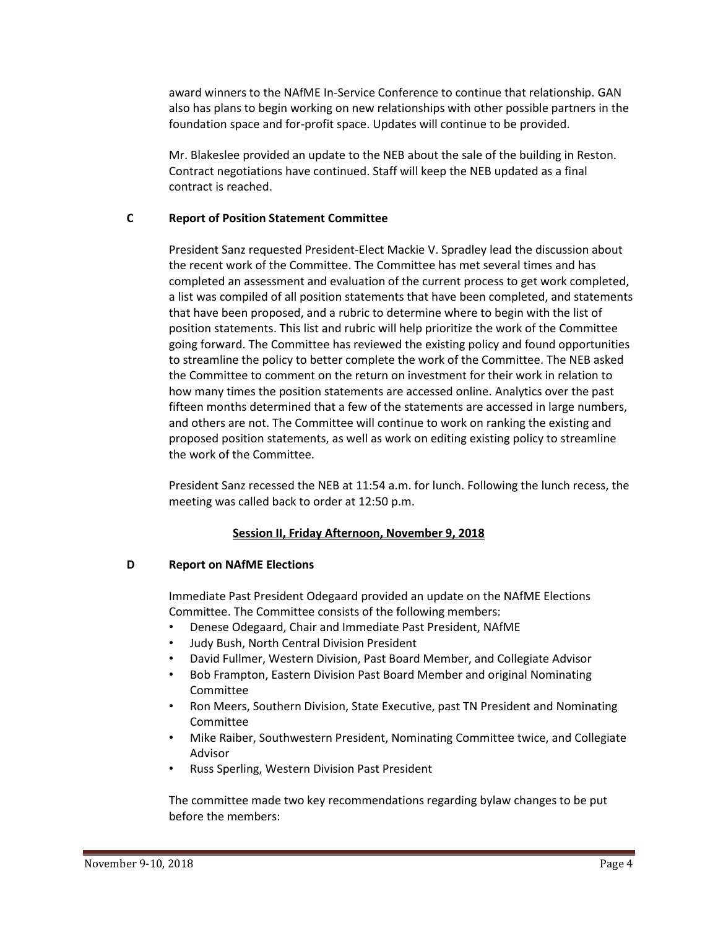award winners to the NAfME In-Service Conference to continue that relationship. GAN also has plans to begin working on new relationships with other possible partners in the foundation space and for-profit space. Updates will continue to be provided.

Mr. Blakeslee provided an update to the NEB about the sale of the building in Reston. Contract negotiations have continued. Staff will keep the NEB updated as a final contract is reached.

## **C Report of Position Statement Committee**

President Sanz requested President-Elect Mackie V. Spradley lead the discussion about the recent work of the Committee. The Committee has met several times and has completed an assessment and evaluation of the current process to get work completed, a list was compiled of all position statements that have been completed, and statements that have been proposed, and a rubric to determine where to begin with the list of position statements. This list and rubric will help prioritize the work of the Committee going forward. The Committee has reviewed the existing policy and found opportunities to streamline the policy to better complete the work of the Committee. The NEB asked the Committee to comment on the return on investment for their work in relation to how many times the position statements are accessed online. Analytics over the past fifteen months determined that a few of the statements are accessed in large numbers, and others are not. The Committee will continue to work on ranking the existing and proposed position statements, as well as work on editing existing policy to streamline the work of the Committee.

President Sanz recessed the NEB at 11:54 a.m. for lunch. Following the lunch recess, the meeting was called back to order at 12:50 p.m.

# **Session II, Friday Afternoon, November 9, 2018**

### **D Report on NAfME Elections**

Immediate Past President Odegaard provided an update on the NAfME Elections Committee. The Committee consists of the following members:

- Denese Odegaard, Chair and Immediate Past President, NAfME
- Judy Bush, North Central Division President
- David Fullmer, Western Division, Past Board Member, and Collegiate Advisor
- Bob Frampton, Eastern Division Past Board Member and original Nominating Committee
- Ron Meers, Southern Division, State Executive, past TN President and Nominating Committee
- Mike Raiber, Southwestern President, Nominating Committee twice, and Collegiate Advisor
- Russ Sperling, Western Division Past President

The committee made two key recommendations regarding bylaw changes to be put before the members: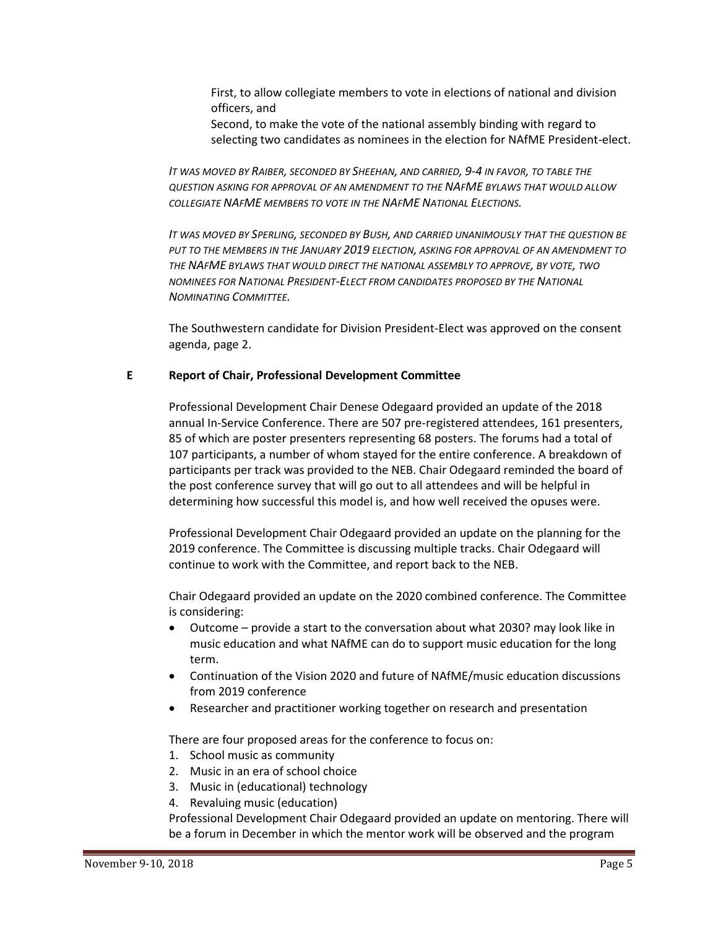First, to allow collegiate members to vote in elections of national and division officers, and

Second, to make the vote of the national assembly binding with regard to selecting two candidates as nominees in the election for NAfME President-elect.

*IT WAS MOVED BY RAIBER, SECONDED BY SHEEHAN, AND CARRIED, 9-4 IN FAVOR, TO TABLE THE QUESTION ASKING FOR APPROVAL OF AN AMENDMENT TO THE NAFME BYLAWS THAT WOULD ALLOW COLLEGIATE NAFME MEMBERS TO VOTE IN THE NAFME NATIONAL ELECTIONS.*

*IT WAS MOVED BY SPERLING, SECONDED BY BUSH, AND CARRIED UNANIMOUSLY THAT THE QUESTION BE PUT TO THE MEMBERS IN THE JANUARY 2019 ELECTION, ASKING FOR APPROVAL OF AN AMENDMENT TO THE NAFME BYLAWS THAT WOULD DIRECT THE NATIONAL ASSEMBLY TO APPROVE, BY VOTE, TWO NOMINEES FOR NATIONAL PRESIDENT-ELECT FROM CANDIDATES PROPOSED BY THE NATIONAL NOMINATING COMMITTEE.*

The Southwestern candidate for Division President-Elect was approved on the consent agenda, page 2.

#### **E Report of Chair, Professional Development Committee**

Professional Development Chair Denese Odegaard provided an update of the 2018 annual In-Service Conference. There are 507 pre-registered attendees, 161 presenters, 85 of which are poster presenters representing 68 posters. The forums had a total of 107 participants, a number of whom stayed for the entire conference. A breakdown of participants per track was provided to the NEB. Chair Odegaard reminded the board of the post conference survey that will go out to all attendees and will be helpful in determining how successful this model is, and how well received the opuses were.

Professional Development Chair Odegaard provided an update on the planning for the 2019 conference. The Committee is discussing multiple tracks. Chair Odegaard will continue to work with the Committee, and report back to the NEB.

Chair Odegaard provided an update on the 2020 combined conference. The Committee is considering:

- Outcome provide a start to the conversation about what 2030? may look like in music education and what NAfME can do to support music education for the long term.
- Continuation of the Vision 2020 and future of NAfME/music education discussions from 2019 conference
- Researcher and practitioner working together on research and presentation

There are four proposed areas for the conference to focus on:

- 1. School music as community
- 2. Music in an era of school choice
- 3. Music in (educational) technology
- 4. Revaluing music (education)

Professional Development Chair Odegaard provided an update on mentoring. There will be a forum in December in which the mentor work will be observed and the program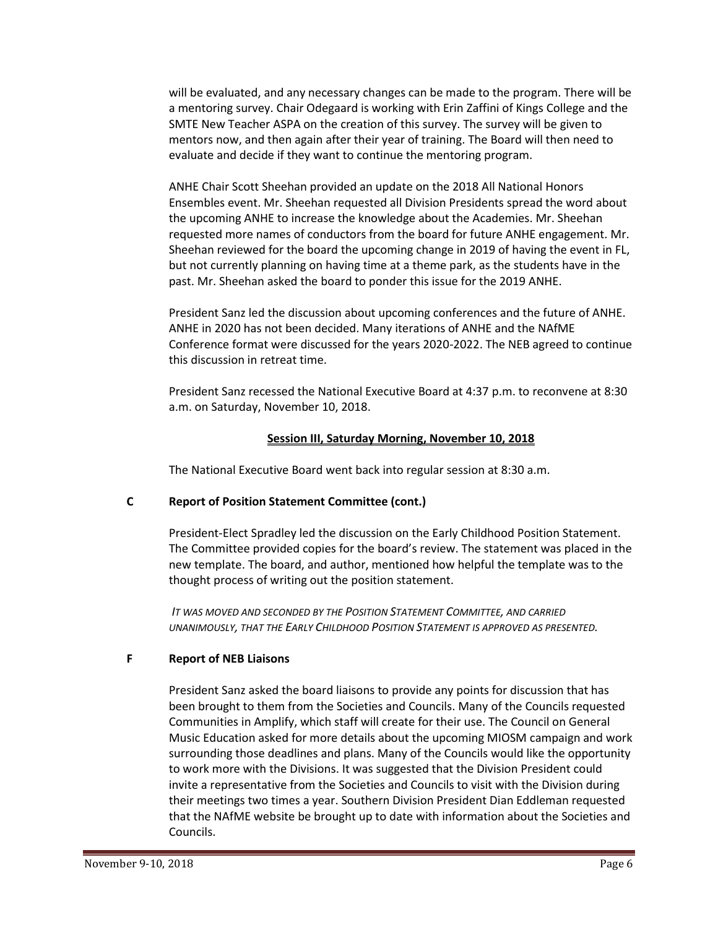will be evaluated, and any necessary changes can be made to the program. There will be a mentoring survey. Chair Odegaard is working with Erin Zaffini of Kings College and the SMTE New Teacher ASPA on the creation of this survey. The survey will be given to mentors now, and then again after their year of training. The Board will then need to evaluate and decide if they want to continue the mentoring program.

ANHE Chair Scott Sheehan provided an update on the 2018 All National Honors Ensembles event. Mr. Sheehan requested all Division Presidents spread the word about the upcoming ANHE to increase the knowledge about the Academies. Mr. Sheehan requested more names of conductors from the board for future ANHE engagement. Mr. Sheehan reviewed for the board the upcoming change in 2019 of having the event in FL, but not currently planning on having time at a theme park, as the students have in the past. Mr. Sheehan asked the board to ponder this issue for the 2019 ANHE.

President Sanz led the discussion about upcoming conferences and the future of ANHE. ANHE in 2020 has not been decided. Many iterations of ANHE and the NAfME Conference format were discussed for the years 2020-2022. The NEB agreed to continue this discussion in retreat time.

President Sanz recessed the National Executive Board at 4:37 p.m. to reconvene at 8:30 a.m. on Saturday, November 10, 2018.

## **Session III, Saturday Morning, November 10, 2018**

The National Executive Board went back into regular session at 8:30 a.m.

# **C Report of Position Statement Committee (cont.)**

President-Elect Spradley led the discussion on the Early Childhood Position Statement. The Committee provided copies for the board's review. The statement was placed in the new template. The board, and author, mentioned how helpful the template was to the thought process of writing out the position statement.

*IT WAS MOVED AND SECONDED BY THE POSITION STATEMENT COMMITTEE, AND CARRIED UNANIMOUSLY, THAT THE EARLY CHILDHOOD POSITION STATEMENT IS APPROVED AS PRESENTED.*

### **F Report of NEB Liaisons**

President Sanz asked the board liaisons to provide any points for discussion that has been brought to them from the Societies and Councils. Many of the Councils requested Communities in Amplify, which staff will create for their use. The Council on General Music Education asked for more details about the upcoming MIOSM campaign and work surrounding those deadlines and plans. Many of the Councils would like the opportunity to work more with the Divisions. It was suggested that the Division President could invite a representative from the Societies and Councils to visit with the Division during their meetings two times a year. Southern Division President Dian Eddleman requested that the NAfME website be brought up to date with information about the Societies and Councils.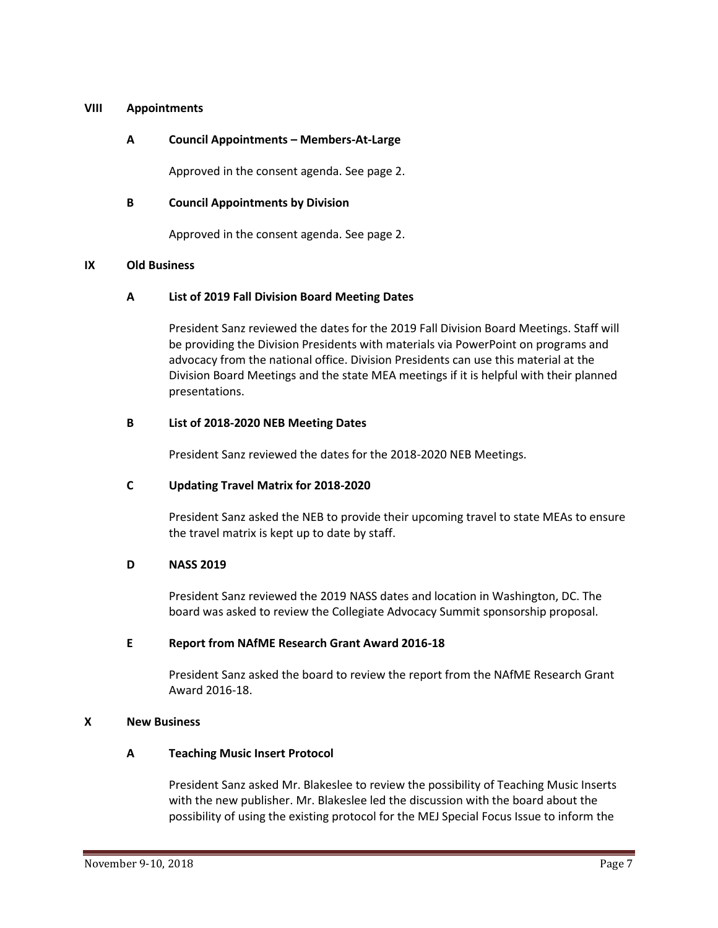#### **VIII Appointments**

#### **A Council Appointments – Members-At-Large**

Approved in the consent agenda. See page 2.

#### **B Council Appointments by Division**

Approved in the consent agenda. See page 2.

#### **IX Old Business**

#### **A List of 2019 Fall Division Board Meeting Dates**

President Sanz reviewed the dates for the 2019 Fall Division Board Meetings. Staff will be providing the Division Presidents with materials via PowerPoint on programs and advocacy from the national office. Division Presidents can use this material at the Division Board Meetings and the state MEA meetings if it is helpful with their planned presentations.

#### **B List of 2018-2020 NEB Meeting Dates**

President Sanz reviewed the dates for the 2018-2020 NEB Meetings.

### **C Updating Travel Matrix for 2018-2020**

President Sanz asked the NEB to provide their upcoming travel to state MEAs to ensure the travel matrix is kept up to date by staff.

#### **D NASS 2019**

President Sanz reviewed the 2019 NASS dates and location in Washington, DC. The board was asked to review the Collegiate Advocacy Summit sponsorship proposal.

#### **E Report from NAfME Research Grant Award 2016-18**

President Sanz asked the board to review the report from the NAfME Research Grant Award 2016-18.

#### **X New Business**

## **A Teaching Music Insert Protocol**

President Sanz asked Mr. Blakeslee to review the possibility of Teaching Music Inserts with the new publisher. Mr. Blakeslee led the discussion with the board about the possibility of using the existing protocol for the MEJ Special Focus Issue to inform the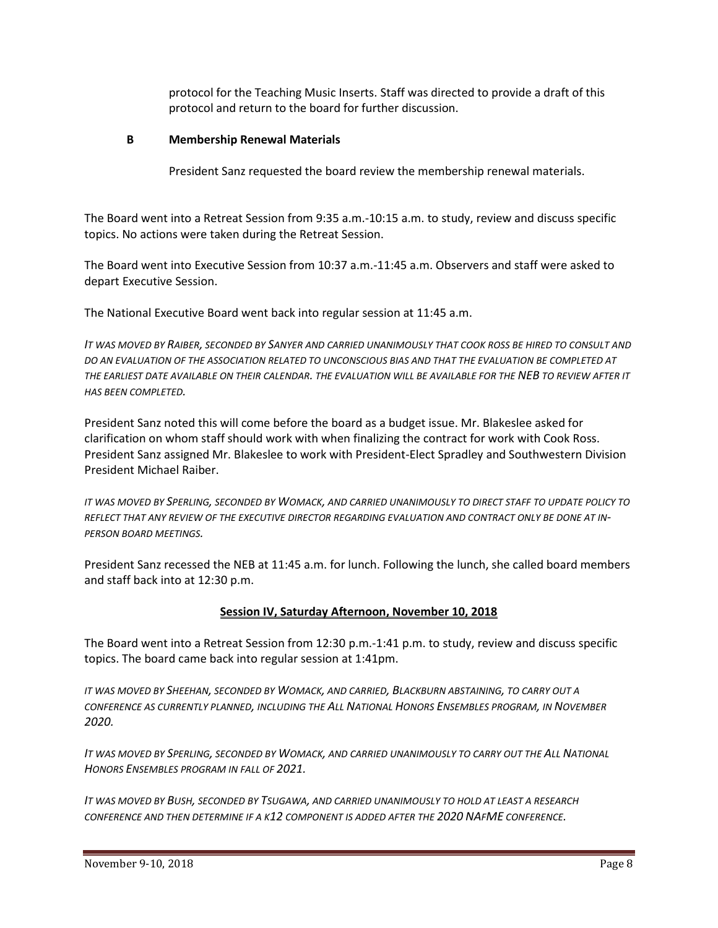protocol for the Teaching Music Inserts. Staff was directed to provide a draft of this protocol and return to the board for further discussion.

## **B Membership Renewal Materials**

President Sanz requested the board review the membership renewal materials.

The Board went into a Retreat Session from 9:35 a.m.-10:15 a.m. to study, review and discuss specific topics. No actions were taken during the Retreat Session.

The Board went into Executive Session from 10:37 a.m.-11:45 a.m. Observers and staff were asked to depart Executive Session.

The National Executive Board went back into regular session at 11:45 a.m.

*IT WAS MOVED BY RAIBER, SECONDED BY SANYER AND CARRIED UNANIMOUSLY THAT COOK ROSS BE HIRED TO CONSULT AND DO AN EVALUATION OF THE ASSOCIATION RELATED TO UNCONSCIOUS BIAS AND THAT THE EVALUATION BE COMPLETED AT THE EARLIEST DATE AVAILABLE ON THEIR CALENDAR. THE EVALUATION WILL BE AVAILABLE FOR THE NEB TO REVIEW AFTER IT HAS BEEN COMPLETED.*

President Sanz noted this will come before the board as a budget issue. Mr. Blakeslee asked for clarification on whom staff should work with when finalizing the contract for work with Cook Ross. President Sanz assigned Mr. Blakeslee to work with President-Elect Spradley and Southwestern Division President Michael Raiber.

*IT WAS MOVED BY SPERLING, SECONDED BY WOMACK, AND CARRIED UNANIMOUSLY TO DIRECT STAFF TO UPDATE POLICY TO REFLECT THAT ANY REVIEW OF THE EXECUTIVE DIRECTOR REGARDING EVALUATION AND CONTRACT ONLY BE DONE AT IN-PERSON BOARD MEETINGS.*

President Sanz recessed the NEB at 11:45 a.m. for lunch. Following the lunch, she called board members and staff back into at 12:30 p.m.

# **Session IV, Saturday Afternoon, November 10, 2018**

The Board went into a Retreat Session from 12:30 p.m.-1:41 p.m. to study, review and discuss specific topics. The board came back into regular session at 1:41pm.

*IT WAS MOVED BY SHEEHAN, SECONDED BY WOMACK, AND CARRIED, BLACKBURN ABSTAINING, TO CARRY OUT A CONFERENCE AS CURRENTLY PLANNED, INCLUDING THE ALL NATIONAL HONORS ENSEMBLES PROGRAM, IN NOVEMBER 2020.*

*IT WAS MOVED BY SPERLING, SECONDED BY WOMACK, AND CARRIED UNANIMOUSLY TO CARRY OUT THE ALL NATIONAL HONORS ENSEMBLES PROGRAM IN FALL OF 2021.*

*IT WAS MOVED BY BUSH, SECONDED BY TSUGAWA, AND CARRIED UNANIMOUSLY TO HOLD AT LEAST A RESEARCH CONFERENCE AND THEN DETERMINE IF A K12 COMPONENT IS ADDED AFTER THE 2020 NAFME CONFERENCE.*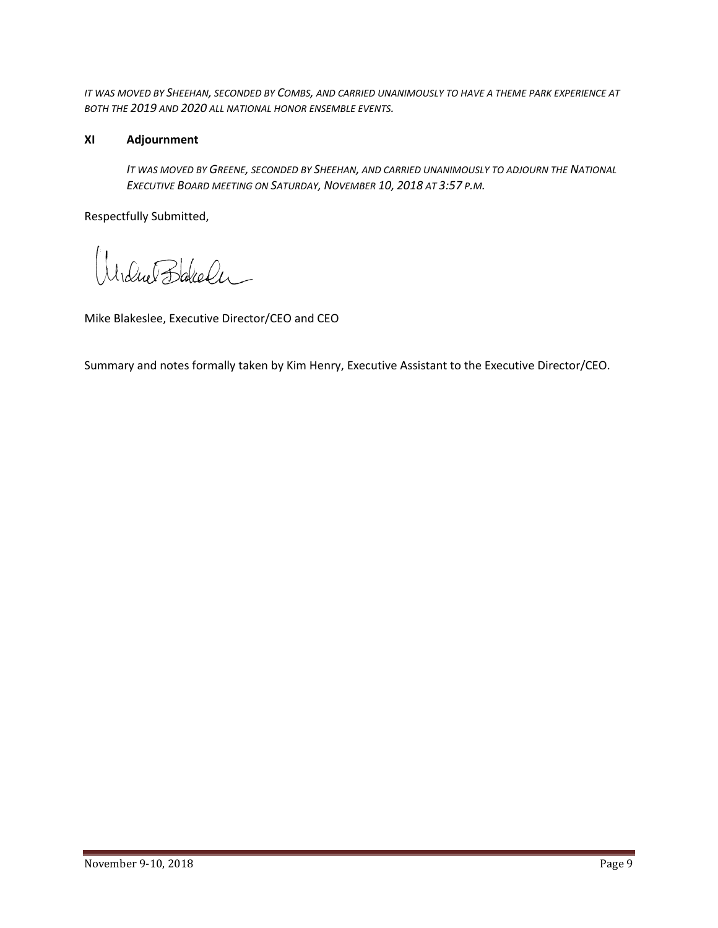*IT WAS MOVED BY SHEEHAN, SECONDED BY COMBS, AND CARRIED UNANIMOUSLY TO HAVE A THEME PARK EXPERIENCE AT BOTH THE 2019 AND 2020 ALL NATIONAL HONOR ENSEMBLE EVENTS.*

## **XI Adjournment**

*IT WAS MOVED BY GREENE, SECONDED BY SHEEHAN, AND CARRIED UNANIMOUSLY TO ADJOURN THE NATIONAL EXECUTIVE BOARD MEETING ON SATURDAY, NOVEMBER 10, 2018 AT 3:57 P.M.*

Respectfully Submitted,

Widnet Blakeler

Mike Blakeslee, Executive Director/CEO and CEO

Summary and notes formally taken by Kim Henry, Executive Assistant to the Executive Director/CEO.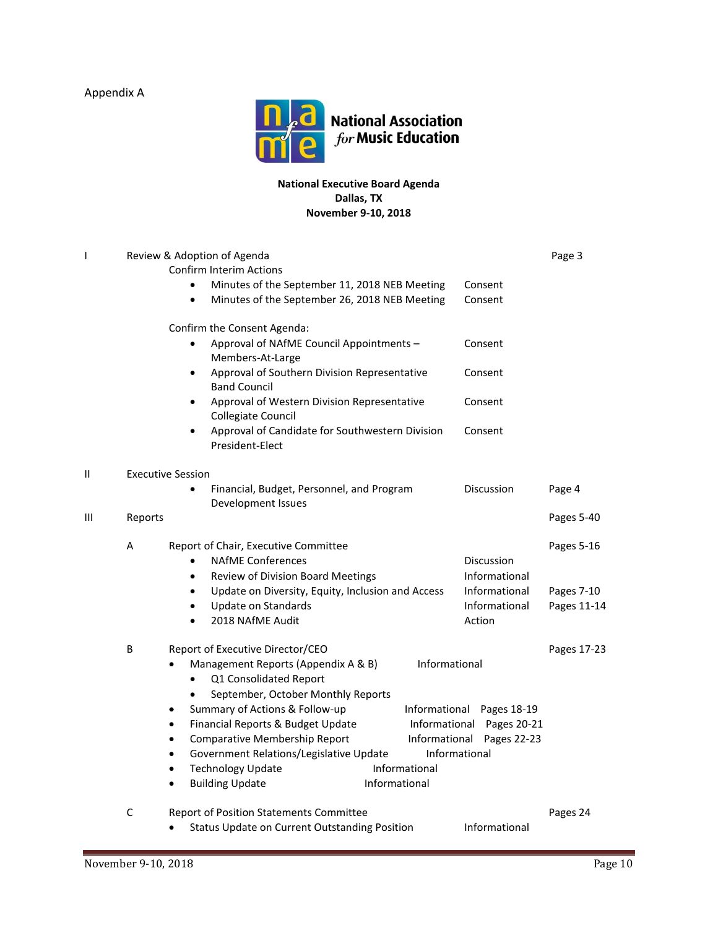Appendix A



#### **National Executive Board Agenda Dallas, TX November 9-10, 2018**

| T |                                           | Review & Adoption of Agenda                                                      |                           | Page 3      |  |  |
|---|-------------------------------------------|----------------------------------------------------------------------------------|---------------------------|-------------|--|--|
|   |                                           | Confirm Interim Actions                                                          |                           |             |  |  |
|   |                                           | Minutes of the September 11, 2018 NEB Meeting<br>$\bullet$                       | Consent<br>Consent        |             |  |  |
|   |                                           | Minutes of the September 26, 2018 NEB Meeting                                    |                           |             |  |  |
|   |                                           | Confirm the Consent Agenda:                                                      |                           |             |  |  |
|   |                                           | Approval of NAfME Council Appointments -                                         | Consent                   |             |  |  |
|   |                                           | Members-At-Large                                                                 |                           |             |  |  |
|   |                                           | Approval of Southern Division Representative<br>$\bullet$<br><b>Band Council</b> | Consent                   |             |  |  |
|   |                                           | Approval of Western Division Representative<br>$\bullet$<br>Collegiate Council   | Consent                   |             |  |  |
|   |                                           | Approval of Candidate for Southwestern Division<br>$\bullet$<br>President-Elect  | Consent                   |             |  |  |
| Ш | <b>Executive Session</b>                  |                                                                                  |                           |             |  |  |
|   | Financial, Budget, Personnel, and Program |                                                                                  | Discussion                | Page 4      |  |  |
|   |                                           | Development Issues                                                               |                           |             |  |  |
| Ш | Reports                                   |                                                                                  |                           | Pages 5-40  |  |  |
|   | A                                         | Report of Chair, Executive Committee                                             |                           | Pages 5-16  |  |  |
|   |                                           | <b>NAfME Conferences</b><br>$\bullet$                                            | <b>Discussion</b>         |             |  |  |
|   |                                           | Review of Division Board Meetings<br>$\bullet$                                   | Informational             |             |  |  |
|   |                                           | Update on Diversity, Equity, Inclusion and Access<br>$\bullet$                   | Informational             | Pages 7-10  |  |  |
|   |                                           | <b>Update on Standards</b><br>$\bullet$                                          | Informational             | Pages 11-14 |  |  |
|   |                                           | 2018 NAfME Audit<br>$\bullet$                                                    | Action                    |             |  |  |
|   | В                                         | Report of Executive Director/CEO                                                 |                           | Pages 17-23 |  |  |
|   |                                           | Management Reports (Appendix A & B)<br>Informational<br>Q1 Consolidated Report   |                           |             |  |  |
|   |                                           | September, October Monthly Reports                                               |                           |             |  |  |
|   |                                           | Summary of Actions & Follow-up<br>Informational<br>۰                             | Pages 18-19               |             |  |  |
|   |                                           | Financial Reports & Budget Update<br>$\bullet$                                   | Informational Pages 20-21 |             |  |  |
|   |                                           | Comparative Membership Report<br>$\bullet$                                       | Informational Pages 22-23 |             |  |  |
|   |                                           | Government Relations/Legislative Update<br>Informational                         |                           |             |  |  |
|   |                                           | <b>Technology Update</b><br>Informational                                        |                           |             |  |  |
|   |                                           | Informational<br><b>Building Update</b>                                          |                           |             |  |  |
|   | C                                         | Report of Position Statements Committee                                          |                           | Pages 24    |  |  |
|   |                                           | Status Update on Current Outstanding Position<br>$\bullet$                       | Informational             |             |  |  |